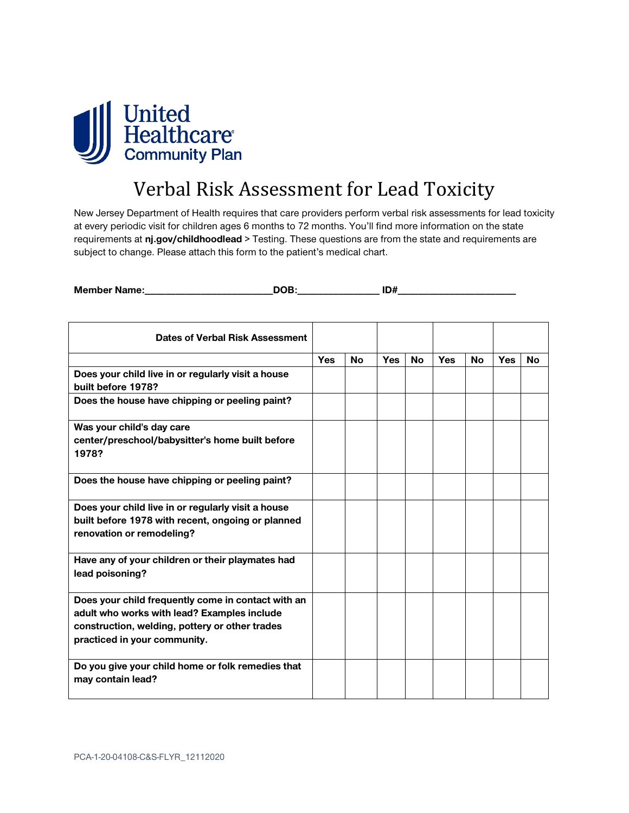

## Verbal Risk Assessment for Lead Toxicity

New Jersey Department of Health requires that care providers perform verbal risk assessments for lead toxicity at every periodic visit for children ages 6 months to 72 months. You'll find more information on the state requirements at **nj.gov/childhoodlead** > Testing. These questions are from the state and requirements are subject to change. Please attach this form to the patient's medical chart.

| <b>Member Name:</b> |     |
|---------------------|-----|
| --                  | ישו |

| Dates of Verbal Risk Assessment                                                                                                                                                     |            |           |            |           |            |           |            |           |
|-------------------------------------------------------------------------------------------------------------------------------------------------------------------------------------|------------|-----------|------------|-----------|------------|-----------|------------|-----------|
|                                                                                                                                                                                     | <b>Yes</b> | <b>No</b> | <b>Yes</b> | <b>No</b> | <b>Yes</b> | <b>No</b> | <b>Yes</b> | <b>No</b> |
| Does your child live in or regularly visit a house<br>built before 1978?                                                                                                            |            |           |            |           |            |           |            |           |
| Does the house have chipping or peeling paint?                                                                                                                                      |            |           |            |           |            |           |            |           |
| Was your child's day care<br>center/preschool/babysitter's home built before<br>1978?                                                                                               |            |           |            |           |            |           |            |           |
| Does the house have chipping or peeling paint?                                                                                                                                      |            |           |            |           |            |           |            |           |
| Does your child live in or regularly visit a house<br>built before 1978 with recent, ongoing or planned<br>renovation or remodeling?                                                |            |           |            |           |            |           |            |           |
| Have any of your children or their playmates had<br>lead poisoning?                                                                                                                 |            |           |            |           |            |           |            |           |
| Does your child frequently come in contact with an<br>adult who works with lead? Examples include<br>construction, welding, pottery or other trades<br>practiced in your community. |            |           |            |           |            |           |            |           |
| Do you give your child home or folk remedies that<br>may contain lead?                                                                                                              |            |           |            |           |            |           |            |           |